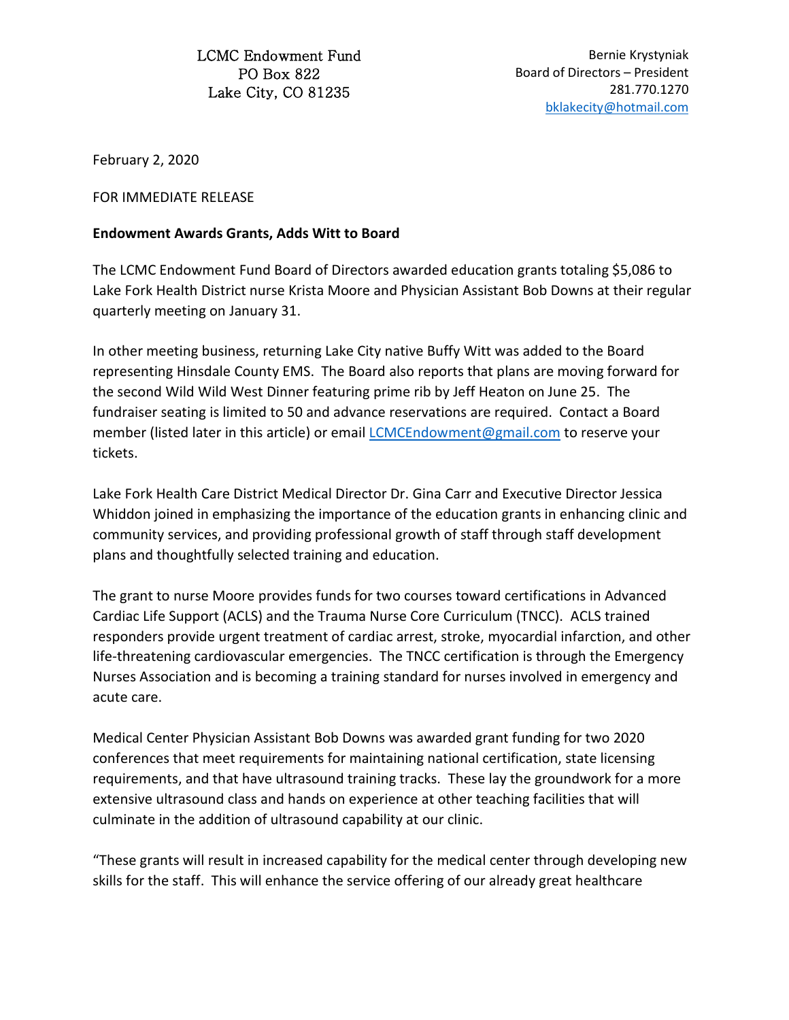LCMC Endowment Fund PO Box 822 Lake City, CO 81235

Bernie Krystyniak Board of Directors – President 281.770.1270 [bklakecity@hotmail.com](mailto:bklakecity@hotmail.com)

February 2, 2020

FOR IMMEDIATE RELEASE

## **Endowment Awards Grants, Adds Witt to Board**

The LCMC Endowment Fund Board of Directors awarded education grants totaling \$5,086 to Lake Fork Health District nurse Krista Moore and Physician Assistant Bob Downs at their regular quarterly meeting on January 31.

In other meeting business, returning Lake City native Buffy Witt was added to the Board representing Hinsdale County EMS. The Board also reports that plans are moving forward for the second Wild Wild West Dinner featuring prime rib by Jeff Heaton on June 25. The fundraiser seating is limited to 50 and advance reservations are required. Contact a Board member (listed later in this article) or email **LCMCEndowment@gmail.com** to reserve your tickets.

Lake Fork Health Care District Medical Director Dr. Gina Carr and Executive Director Jessica Whiddon joined in emphasizing the importance of the education grants in enhancing clinic and community services, and providing professional growth of staff through staff development plans and thoughtfully selected training and education.

The grant to nurse Moore provides funds for two courses toward certifications in Advanced Cardiac Life Support (ACLS) and the Trauma Nurse Core Curriculum (TNCC). ACLS trained responders provide urgent treatment of cardiac arrest, stroke, myocardial infarction, and other life-threatening cardiovascular emergencies. The TNCC certification is through the Emergency Nurses Association and is becoming a training standard for nurses involved in emergency and acute care.

Medical Center Physician Assistant Bob Downs was awarded grant funding for two 2020 conferences that meet requirements for maintaining national certification, state licensing requirements, and that have ultrasound training tracks. These lay the groundwork for a more extensive ultrasound class and hands on experience at other teaching facilities that will culminate in the addition of ultrasound capability at our clinic.

"These grants will result in increased capability for the medical center through developing new skills for the staff. This will enhance the service offering of our already great healthcare